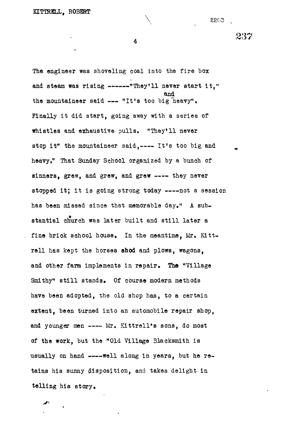4

The engineer was shoveling coal into the fire box and steam was rising  $---"They'll never start it."$ and the mountaineer said  $---$  "It's too big heavy". Finally it did start, going away with a series of whistles and exhaustive pulls, "They'll never stop it" the mountaineer said, ---- It's too big and heavy," That Sunday School organized by a bunch of sinners, grew, and grew, and grew ---- they never stopped it; it is going strong today ----not a session has been missed since that memorable day." A substantial church was later built and still later a fine brick school house. In the meantime, Mr. Kittrell has kept the horses **shod** and plows, wagons, and other farm implements in repair. **The** "Village Smithy" still stands. Of course modern methods have been adopted, the old shop has, to a oertain extent, been turned into an automobile repair shop, and younger men ---- Mr. Kittrell's sons, do most of the work, but the "Old Village Blacksmith is usually on hand ---- well along in years, but he retains his sunny disposition, and takes delight in telling his story.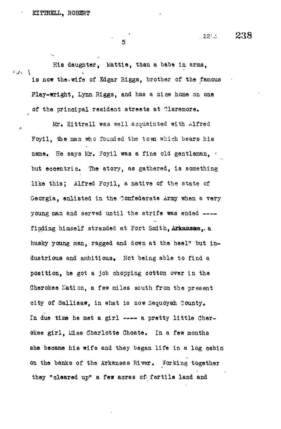$\lambda$ 

5

His daughter, Mattie, than a babe in arms,  $\left\{ \begin{array}{c} 1 & 1 \\ 1 & 1 \end{array} \right\}$ is now the.wife of Kdgar Riggs, brother of the famous Play-wright, Lynn Riggs, and has a nice home on one of the principal resident streets at Claremore.

Mr. Kittrell was well acquainted with Alfred Foyil, the man who founded the town which bears his name. He says Mr. Foyil was a fine old gentleman, but eooentrio. The story, as gathered, is something like this; Alfred Foyil, a native of the state of Georgia, enlisted in the Confederate Army when a very young man and served until the strife was ended ---finding himself stranded at Fort Smith, Arkansas,, a husky young man, ragged and down at the heel" but industrious and ambitious. Not being able to find a position, he got a job ohopping cotton over in the Cherokee Kation, a few miles south from the present city of Sallisaw, in what is now Sequoyah County. In due time he met a girl ---- a pretty little Cherokee girl, Miss Charlotte Choate. In a few months she became his wife and they began life in a log cabin on the banks of the Arkansas River. Working together they "cleared up" a few acres of fertile land and

**,.22M 238**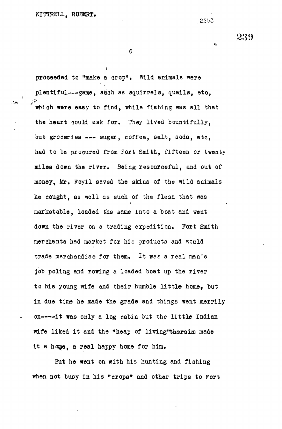6

**i**

proceeded to "make a crop". Wild animals were plentiful—game, such as squirrels, quails, eto, which were easy to find, while fishing was all that the heart could ask for. They lived bountifully, but groceries --- sugar, coffee, salt, soda, etc, had to be procured from Fort Smith, fifteen or twenty miles down the river. Being resourceful, and out of money, Mr. Foyil saved the skins of the wild animals he caught, as well as such of the flesh that was marketable, loaded the same into a boat and went down the river on a trading expedition. Fort Smith merchants had market for his products and would trade merchandise for them. It was a real man's job poling and rowing a loaded boat up the river to his young wife and their humble little home, but in due time he made the grade and things went merrily on----it was only a log cabin but the little Indian wife liked it and the "heap of living"thereim made it a home, a real happy home for him.

But he went on with his hunting and fishing when not busy in his "crops" and other trips to Fort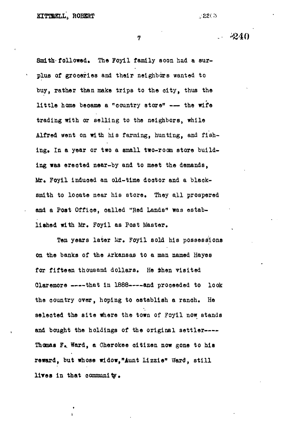$/22(3)$ 

**7 --** *&4Q*

**Smith' followed. The Foyil family soon had a surplus of grooefies and their neighbors wanted to buy, rather than make trips to the oity, thus the** little home became a "country store" --- the wife **trading with or selling to the neighbors, while Alfred went on with his farming, hunting, and fish**ing. In a year or two a small two-room store build**ing was ©rooted near-by and to meet the demands, Mr. Foyil induoed an old-time dootor and a blaok**smith to locate near his store. They all prospered **and a Post Office, oalled "Red Lands" was established with Mr. Foyil as Post Master.**

Ten years later Mr. Foyil sold his possessions **on the banks of the Arkansas to a man named Hayes for fifteen thousand dollars. He then visited** Claremore ----that in 1888----and proceeded to look **the country over, hoping to establish a ranoh. He** selected the site where the town of Fcyil now stands **and bought the holdings of the original settler Thomas F«, Ward, a Cherokee oitizen now gone to his reward, but whose widow,"Aunt Lizzie" Ward, stil l lires in that oommunity.**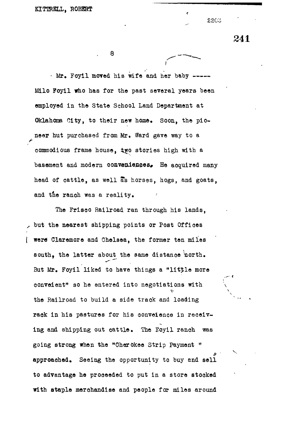• Mr. Foyil moved his wife and her baby Milo Foyil who has for the past several years been employed in the State School Land Department at Oklahoma City, to their new home. Soon, the pioneer hut purchased from Mr. Ward gave way to a commodious frame house, iyo stories high with a basement and modern conveniences. He acquired many head of cattle, as well as horses, hogs, and goats, and the ranoh was a reality.

The Frisoo Railroad ran through his lands, but the nearest shipping points or Post Offices ( were Claremore and Chelsea, the former ten miles south, the latter about the same distance north. But Mr. Foyil liked to have things a "little more conveient" so he entered into negotiations with the Railroad to build a side track and loading  $v = \frac{1}{2}$  . The  $\frac{1}{2}$  such that  $\frac{1}{2}$ rack in his pastures for his conveience in receiving and shipping out cattle. The Eoyil ranoh was going strong when the "Cherokee Strip Payment " approaohed. Seeing the opportunity to buy and sell to advantage he proceeded to put in a store stocked with staple merchandise and people for miles around

241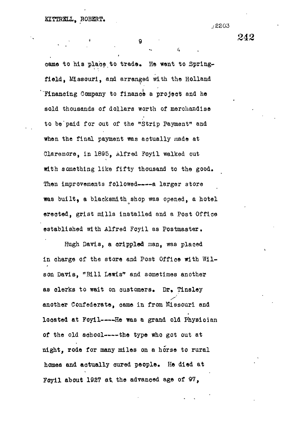$\mathbf{Q}$ 

*{,*

came to his place to trade. He went to Springfield, Missouri, and arranged with the Holland 'Financing Company to finance a projeot and he sold thousands of dollars worth of merchandise to be"paid for out of the "Strip Payment" and when the final payment was actually made at Claremore, in 1895, Alfred Foyil walked out with something like fifty thousand to the good. Then improvements followed———a larger store was built, a blacksmith shop was opened, a hotel erected, grist mills installed and a Post Office established with Alfred Foyil as Postmaster.

Hugh Davis, a crippled man, was plaoed in charge of the store and Post Office with Wilson Davis, "Bill Lewis" and sometimes another as clerks to wait on oustomers. Dr, Tinsley another Confederate, came in from Missouri and located at Foyil----He was a grand old Physician of the old school----- the type who got out at night, rode for many miles on a horse to rural homes and actually oured people. He died at Foyil about 1927 at the advanced age of 97,

242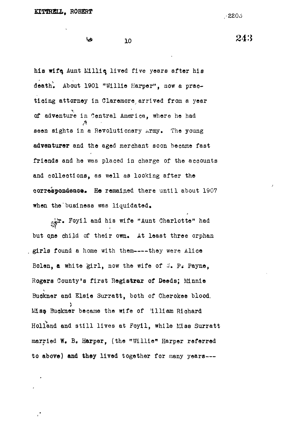$+2203$ 

ويرة

his wife Aunt Millie lived five years after his death'. About 1901 "Willie Harper", now a praotioing attorney in Claremore arrived from a year of adventure in Central America, where he had of adventure in  $\mathcal{B}_1$  and  $\mathcal{B}_2$  are hence hence he hadronical  $\mathcal{B}_2$ seen sights in a Revolutionary Army. The young adventurer and the aged merchant soon became fast **adventurer** and the aged merchant soon became fast friends and he was placed in charge of the accounts of the accounts of the accounts of the accounts of the accounts of the accounts of the accounts of the accounts of the accounts of the accounts of the accounts of the acc  $\alpha$  as well as well as well as well as well as  $\alpha$ **correspondence that there until about 1907** when the business was liquidated, we have a set of  $\mathcal{L}_\text{max}$ 

10

aiJr, Foyil and his wife "Aunt Charlotte" had but o, ne child of the their own. At least the three orphanics of the three orphanics of the three orphanics of girls found a home with them----they were Alice Bolen, a white girl, now the wife of  $\pi$ . P. Payne, Rogers County's first **Registrar** of Deeds; Minnie Buokner and Elsie Surratt, both of Cherokee blood. Mis& Buokner became the wife of 'illiam Richard Holland and still lives at Foyil, while Miss Surratt married W. B. **Harper,** (the "Willie" Harper referred to above) and they lived together for many years ---

243